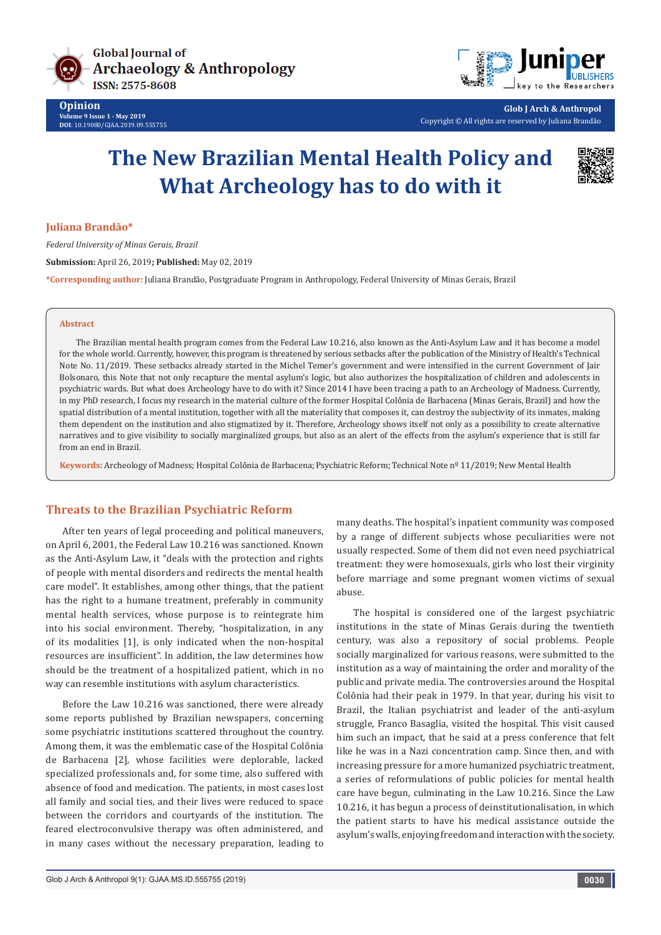



**Glob J Arch & Anthropol** Copyright © All rights are reserved by Juliana Brandão

# **The New Brazilian Mental Health Policy and What Archeology has to do with it**



#### **Juliana Brandão\***

*Federal University of Minas Gerais, Brazil* **Submission:** April 26, 2019**; Published:** May 02, 2019 **\*Corresponding author:** Juliana Brandão, Postgraduate Program in Anthropology, Federal University of Minas Gerais, Brazil

#### **Abstract**

The Brazilian mental health program comes from the Federal Law 10.216, also known as the Anti-Asylum Law and it has become a model for the whole world. Currently, however, this program is threatened by serious setbacks after the publication of the Ministry of Health's Technical Note No. 11/2019. These setbacks already started in the Michel Temer's government and were intensified in the current Government of Jair Bolsonaro, this Note that not only recapture the mental asylum's logic, but also authorizes the hospitalization of children and adolescents in psychiatric wards. But what does Archeology have to do with it? Since 2014 I have been tracing a path to an Archeology of Madness. Currently, in my PhD research, I focus my research in the material culture of the former Hospital Colônia de Barbacena (Minas Gerais, Brazil) and how the spatial distribution of a mental institution, together with all the materiality that composes it, can destroy the subjectivity of its inmates, making them dependent on the institution and also stigmatized by it. Therefore, Archeology shows itself not only as a possibility to create alternative narratives and to give visibility to socially marginalized groups, but also as an alert of the effects from the asylum's experience that is still far from an end in Brazil.

**Keywords:** Archeology of Madness; Hospital Colônia de Barbacena; Psychiatric Reform; Technical Note nº 11/2019; New Mental Health

## **Threats to the Brazilian Psychiatric Reform**

After ten years of legal proceeding and political maneuvers, on April 6, 2001, the Federal Law 10.216 was sanctioned. Known as the Anti-Asylum Law, it "deals with the protection and rights of people with mental disorders and redirects the mental health care model". It establishes, among other things, that the patient has the right to a humane treatment, preferably in community mental health services, whose purpose is to reintegrate him into his social environment. Thereby, "hospitalization, in any of its modalities [1], is only indicated when the non-hospital resources are insufficient". In addition, the law determines how should be the treatment of a hospitalized patient, which in no way can resemble institutions with asylum characteristics.

Before the Law 10.216 was sanctioned, there were already some reports published by Brazilian newspapers, concerning some psychiatric institutions scattered throughout the country. Among them, it was the emblematic case of the Hospital Colônia de Barbacena [2], whose facilities were deplorable, lacked specialized professionals and, for some time, also suffered with absence of food and medication. The patients, in most cases lost all family and social ties, and their lives were reduced to space between the corridors and courtyards of the institution. The feared electroconvulsive therapy was often administered, and in many cases without the necessary preparation, leading to

many deaths. The hospital's inpatient community was composed by a range of different subjects whose peculiarities were not usually respected. Some of them did not even need psychiatrical treatment: they were homosexuals, girls who lost their virginity before marriage and some pregnant women victims of sexual abuse.

The hospital is considered one of the largest psychiatric institutions in the state of Minas Gerais during the twentieth century, was also a repository of social problems. People socially marginalized for various reasons, were submitted to the institution as a way of maintaining the order and morality of the public and private media. The controversies around the Hospital Colônia had their peak in 1979. In that year, during his visit to Brazil, the Italian psychiatrist and leader of the anti-asylum struggle, Franco Basaglia, visited the hospital. This visit caused him such an impact, that he said at a press conference that felt like he was in a Nazi concentration camp. Since then, and with increasing pressure for a more humanized psychiatric treatment, a series of reformulations of public policies for mental health care have begun, culminating in the Law 10.216. Since the Law 10.216, it has begun a process of deinstitutionalisation, in which the patient starts to have his medical assistance outside the asylum's walls, enjoying freedom and interaction with the society.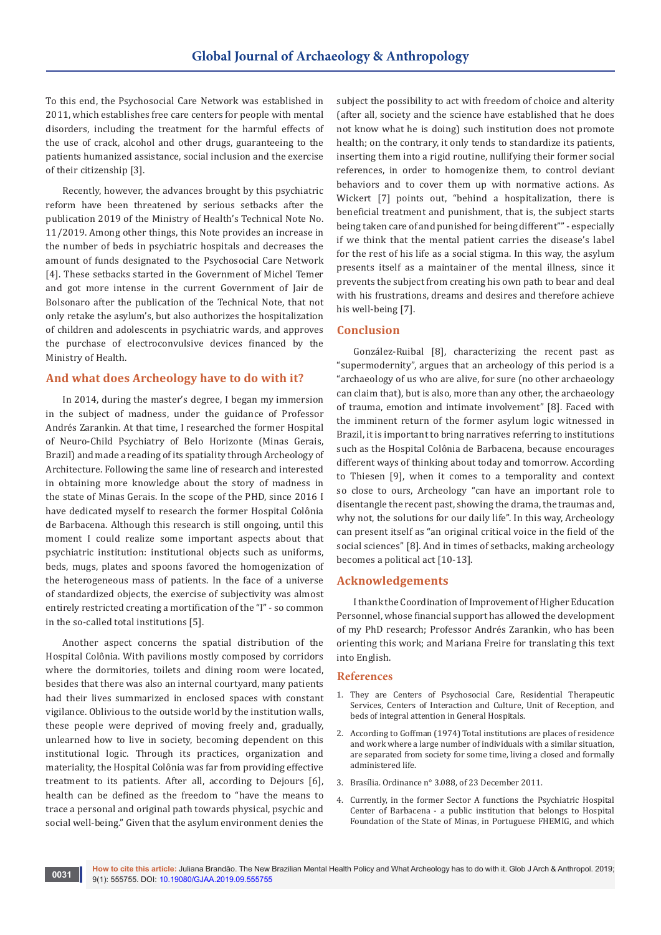To this end, the Psychosocial Care Network was established in 2011, which establishes free care centers for people with mental disorders, including the treatment for the harmful effects of the use of crack, alcohol and other drugs, guaranteeing to the patients humanized assistance, social inclusion and the exercise of their citizenship [3].

Recently, however, the advances brought by this psychiatric reform have been threatened by serious setbacks after the publication 2019 of the Ministry of Health's Technical Note No. 11/2019. Among other things, this Note provides an increase in the number of beds in psychiatric hospitals and decreases the amount of funds designated to the Psychosocial Care Network [4]. These setbacks started in the Government of Michel Temer and got more intense in the current Government of Jair de Bolsonaro after the publication of the Technical Note, that not only retake the asylum's, but also authorizes the hospitalization of children and adolescents in psychiatric wards, and approves the purchase of electroconvulsive devices financed by the Ministry of Health.

### **And what does Archeology have to do with it?**

In 2014, during the master's degree, I began my immersion in the subject of madness, under the guidance of Professor Andrés Zarankin. At that time, I researched the former Hospital of Neuro-Child Psychiatry of Belo Horizonte (Minas Gerais, Brazil) and made a reading of its spatiality through Archeology of Architecture. Following the same line of research and interested in obtaining more knowledge about the story of madness in the state of Minas Gerais. In the scope of the PHD, since 2016 I have dedicated myself to research the former Hospital Colônia de Barbacena. Although this research is still ongoing, until this moment I could realize some important aspects about that psychiatric institution: institutional objects such as uniforms, beds, mugs, plates and spoons favored the homogenization of the heterogeneous mass of patients. In the face of a universe of standardized objects, the exercise of subjectivity was almost entirely restricted creating a mortification of the "I" - so common in the so-called total institutions [5].

Another aspect concerns the spatial distribution of the Hospital Colônia. With pavilions mostly composed by corridors where the dormitories, toilets and dining room were located, besides that there was also an internal courtyard, many patients had their lives summarized in enclosed spaces with constant vigilance. Oblivious to the outside world by the institution walls, these people were deprived of moving freely and, gradually, unlearned how to live in society, becoming dependent on this institutional logic. Through its practices, organization and materiality, the Hospital Colônia was far from providing effective treatment to its patients. After all, according to Dejours [6], health can be defined as the freedom to "have the means to trace a personal and original path towards physical, psychic and social well-being." Given that the asylum environment denies the

**0031**

subject the possibility to act with freedom of choice and alterity (after all, society and the science have established that he does not know what he is doing) such institution does not promote health; on the contrary, it only tends to standardize its patients, inserting them into a rigid routine, nullifying their former social references, in order to homogenize them, to control deviant behaviors and to cover them up with normative actions. As Wickert [7] points out, "behind a hospitalization, there is beneficial treatment and punishment, that is, the subject starts being taken care of and punished for being different"" - especially if we think that the mental patient carries the disease's label for the rest of his life as a social stigma. In this way, the asylum presents itself as a maintainer of the mental illness, since it prevents the subject from creating his own path to bear and deal with his frustrations, dreams and desires and therefore achieve his well-being [7].

#### **Conclusion**

González-Ruibal [8], characterizing the recent past as "supermodernity", argues that an archeology of this period is a "archaeology of us who are alive, for sure (no other archaeology can claim that), but is also, more than any other, the archaeology of trauma, emotion and intimate involvement" [8]. Faced with the imminent return of the former asylum logic witnessed in Brazil, it is important to bring narratives referring to institutions such as the Hospital Colônia de Barbacena, because encourages different ways of thinking about today and tomorrow. According to Thiesen [9], when it comes to a temporality and context so close to ours, Archeology "can have an important role to disentangle the recent past, showing the drama, the traumas and, why not, the solutions for our daily life". In this way, Archeology can present itself as "an original critical voice in the field of the social sciences" [8]. And in times of setbacks, making archeology becomes a political act [10-13].

## **Acknowledgements**

I thank the Coordination of Improvement of Higher Education Personnel, whose financial support has allowed the development of my PhD research; Professor Andrés Zarankin, who has been orienting this work; and Mariana Freire for translating this text into English.

#### **References**

- 1. They are Centers of Psychosocial Care, Residential Therapeutic Services, Centers of Interaction and Culture, Unit of Reception, and beds of integral attention in General Hospitals.
- 2. According to Goffman (1974) Total institutions are places of residence and work where a large number of individuals with a similar situation, are separated from society for some time, living a closed and formally administered life.
- 3. [Brasília. Ordinance n° 3.088, of 23 December 2011.](http://bvsms.saude.gov.br/bvs/saudelegis/gm/2011/prt3088_23_12_2011_rep.html)
- 4. Currently, in the former Sector A functions the Psychiatric Hospital Center of Barbacena - a public institution that belongs to Hospital Foundation of the State of Minas, in Portuguese FHEMIG, and which